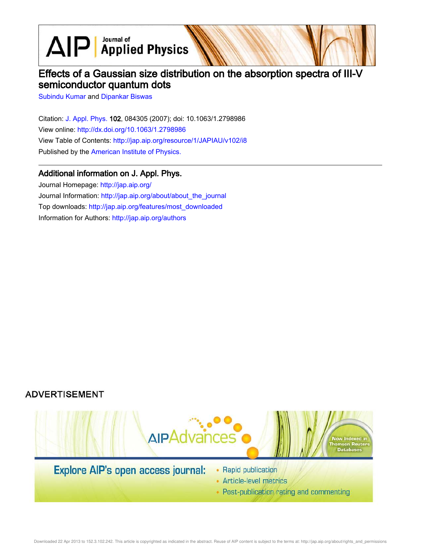$\text{AlP}$  Applied Physics

# Effects of a Gaussian size distribution on the absorption spectra of III-V semiconductor quantum dots

Subindu Kumar and Dipankar Biswas

Citation: J. Appl. Phys. 102, 084305 (2007); doi: 10.1063/1.2798986 View online: http://dx.doi.org/10.1063/1.2798986 View Table of Contents: http://jap.aip.org/resource/1/JAPIAU/v102/i8 Published by the American Institute of Physics.

## Additional information on J. Appl. Phys.

Journal Homepage: http://jap.aip.org/ Journal Information: http://jap.aip.org/about/about\_the\_journal Top downloads: http://jap.aip.org/features/most\_downloaded Information for Authors: http://jap.aip.org/authors

# **ADVERTISEMENT**



• Post-publication rating and commenting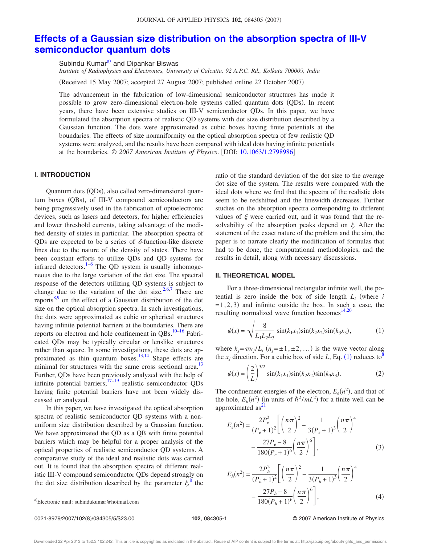# **Effects of a Gaussian size distribution on the absorption spectra of III-V semiconductor quantum dots**

Subindu Kumar<sup>a)</sup> and Dipankar Biswas

*Institute of Radiophysics and Electronics, University of Calcutta, 92 A.P.C. Rd., Kolkata 700009, India*

Received 15 May 2007; accepted 27 August 2007; published online 22 October 2007-

The advancement in the fabrication of low-dimensional semiconductor structures has made it possible to grow zero-dimensional electron-hole systems called quantum dots (QDs). In recent years, there have been extensive studies on III-V semiconductor QDs. In this paper, we have formulated the absorption spectra of realistic QD systems with dot size distribution described by a Gaussian function. The dots were approximated as cubic boxes having finite potentials at the boundaries. The effects of size nonuniformity on the optical absorption spectra of few realistic QD systems were analyzed, and the results have been compared with ideal dots having infinite potentials at the boundaries. © *2007 American Institute of Physics*. DOI: 10.1063/1.2798986

### **I. INTRODUCTION**

Quantum dots (QDs), also called zero-dimensional quantum boxes (QBs), of III-V compound semiconductors are being progressively used in the fabrication of optoelectronic devices, such as lasers and detectors, for higher efficiencies and lower threshold currents, taking advantage of the modified density of states in particular. The absorption spectra of QDs are expected to be a series of  $\delta$ -function-like discrete lines due to the nature of the density of states. There have been constant efforts to utilize QDs and QD systems for infrared detectors. $1-6$  The QD system is usually inhomogeneous due to the large variation of the dot size. The spectral response of the detectors utilizing QD systems is subject to change due to the variation of the dot size.<sup>2,6,7</sup> There are reports<sup>8,9</sup> on the effect of a Gaussian distribution of the dot size on the optical absorption spectra. In such investigations, the dots were approximated as cubic or spherical structures having infinite potential barriers at the boundaries. There are reports on electron and hole confinement in QBs.<sup>10–16</sup> Fabricated QDs may be typically circular or lenslike structures rather than square. In some investigations, these dots are approximated as thin quantum boxes. $13,14$  Shape effects are minimal for structures with the same cross sectional area.<sup>13</sup> Further, QDs have been previously analyzed with the help of infinite potential barriers; $17-19$  realistic semiconductor QDs having finite potential barriers have not been widely discussed or analyzed.

In this paper, we have investigated the optical absorption spectra of realistic semiconductor QD systems with a nonuniform size distribution described by a Gaussian function. We have approximated the QD as a QB with finite potential barriers which may be helpful for a proper analysis of the optical properties of realistic semiconductor QD systems. A comparative study of the ideal and realistic dots was carried out. It is found that the absorption spectra of different realistic III-V compound semiconductor QDs depend strongly on the dot size distribution described by the parameter  $\xi$ <sup>8</sup> the

ratio of the standard deviation of the dot size to the average dot size of the system. The results were compared with the ideal dots where we find that the spectra of the realistic dots seem to be redshifted and the linewidth decreases. Further studies on the absorption spectra corresponding to different values of  $\xi$  were carried out, and it was found that the resolvability of the absorption peaks depend on  $\xi$ . After the statement of the exact nature of the problem and the aim, the paper is to narrate clearly the modification of formulas that had to be done, the computational methodologies, and the results in detail, along with necessary discussions.

### **II. THEORETICAL MODEL**

For a three-dimensional rectangular infinite well, the potential is zero inside the box of side length  $L_i$  (where  $i$  $=1,2,3$  and infinite outside the box. In such a case, the resulting normalized wave function becomes $14,20$ 

$$
\psi(x) = \sqrt{\frac{8}{L_1 L_2 L_3}} \sin(k_1 x_1) \sin(k_2 x_2) \sin(k_3 x_3), \tag{1}
$$

where  $k_j = \pi n_j / L_i$   $(n_j = \pm 1, \pm 2, ...)$  is the wave vector along the  $x_j$  direction. For a cubic box of side *L*, Eq. (1) reduces to<sup>8</sup>

$$
\psi(x) = \left(\frac{2}{L}\right)^{3/2} \sin(k_1 x_1) \sin(k_2 x_2) \sin(k_3 x_3).
$$
 (2)

The confinement energies of the electron,  $E_e(n^2)$ , and that of the hole,  $E_h(n^2)$  (in units of  $\hbar^2/mL^2$ ) for a finite well can be approximated as<sup>2</sup>

$$
E_e(n^2) = \frac{2P_e^2}{(P_e + 1)^2} \left[ \left(\frac{n\pi}{2}\right)^2 - \frac{1}{3(P_e + 1)^3} \left(\frac{n\pi}{2}\right)^4 - \frac{27P_e - 8}{180(P_e + 1)^6} \left(\frac{n\pi}{2}\right)^6 \right],
$$
\n(3)

$$
E_h(n^2) = \frac{2P_h^2}{(P_h+1)^2} \left[ \left(\frac{n\pi}{2}\right)^2 - \frac{1}{3(P_h+1)^3} \left(\frac{n\pi}{2}\right)^4 - \frac{27P_h - 8}{180(P_h+1)^6} \left(\frac{n\pi}{2}\right)^6 \right],
$$
 (4)

**102**, 084305-1 © 2007 American Institute of Physics

a)Electronic mail: subindukumar@hotmail.com

<sup>0021-8979/2007/102(8)/084305/5/\$23.00</sup>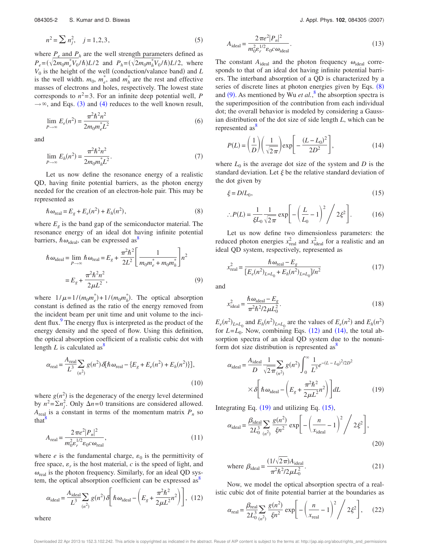$$
n^2 = \sum n_j^2, \quad j = 1, 2, 3,
$$
 (5)

where  $P_e$  and  $P_h$  are the well strength parameters defined as  $P_e = (\sqrt{2m_0m_e^*V_0/\hbar})L/2$  and  $P_h = (\sqrt{2m_0m_h^*V_0/\hbar})L/2$ , where  $V_0$  is the height of the well (conduction/valance band) and *L* is the well width.  $m_0$ ,  $m_e^*$ , and  $m_h^*$  are the rest and effective masses of electrons and holes, respectively. The lowest state corresponds to  $n^2 = 3$ . For an infinite deep potential well, *P*  $\rightarrow \infty$ , and Eqs. (3) and (4) reduces to the well known result,

$$
\lim_{P \to \infty} E_e(n^2) = \frac{\pi^2 \hbar^2 n^2}{2m_0 m_e^* L^2}
$$
\n(6)

and

$$
\lim_{P \to \infty} E_h(n^2) = \frac{\pi^2 \hbar^2 n^2}{2m_0 m_h^* L^2}.
$$
\n(7)

Let us now define the resonance energy of a realistic QD, having finite potential barriers, as the photon energy needed for the creation of an electron-hole pair. This may be represented as

$$
\hbar \omega_{\text{real}} = E_g + E_e(n^2) + E_h(n^2),\tag{8}
$$

where  $E<sub>g</sub>$  is the band gap of the semiconductor material. The resonance energy of an ideal dot having infinite potential barriers,  $\hbar \omega_{\text{ideal}}$ , can be expressed as<sup>8</sup>

$$
\hbar \omega_{\text{ideal}} = \lim_{P \to \infty} \hbar \omega_{\text{real}} = E_g + \frac{\pi^2 \hbar^2}{2L^2} \left[ \frac{1}{m_0 m_e^* + m_0 m_h^*} \right] n^2
$$

$$
= E_g + \frac{\pi^2 \hbar^2 n^2}{2\mu L^2}, \tag{9}
$$

where  $1/\mu = 1/(m_0 m_e^*) + 1/(m_0 m_h^*)$ . The optical absorption constant is defined as the ratio of the energy removed from the incident beam per unit time and unit volume to the incident flux. $9$  The energy flux is interpreted as the product of the energy density and the speed of flow. Using this definition, the optical absorption coefficient of a realistic cubic dot with length  $L$  is calculated as<sup>8</sup>

$$
\alpha_{\text{real}} = \frac{A_{\text{real}}}{L^3} \sum_{(n^2)} g(n^2) \delta[\hbar \omega_{\text{real}} - \{E_g + E_e(n^2) + E_h(n^2)\}],\tag{10}
$$

where  $g(n^2)$  is the degeneracy of the energy level determined by  $n^2 = \sum n_j^2$ . Only  $\Delta n = 0$  transitions are considered allowed.  $A_{\text{real}}$  is a constant in terms of the momentum matrix  $P_n$  so that<sup>'</sup>

$$
A_{\text{real}} = \frac{2\pi e^2 |P_n|^2}{m_0^2 \varepsilon_r^{1/2} \varepsilon_0 c \omega_{\text{real}}},\tag{11}
$$

where  $e$  is the fundamental charge,  $\varepsilon_0$  is the permittivity of free space,  $\varepsilon_r$  is the host material, *c* is the speed of light, and  $\omega_{\text{real}}$  is the photon frequency. Similarly, for an ideal QD system, the optical absorption coefficient can be expressed as

$$
\alpha_{\text{ideal}} = \frac{A_{\text{ideal}}}{L^3} \sum_{(n^2)} g(n^2) \delta \left[ \hbar \omega_{\text{ideal}} - \left( E_g + \frac{\pi^2 \hbar^2}{2 \mu L^2} n^2 \right) \right], (12)
$$

where

$$
A_{\text{ideal}} = \frac{2\pi e^2 |P_n|^2}{m_0^2 \varepsilon_r^{1/2} \varepsilon_0 c \omega_{\text{ideal}}}.
$$
 (13)

The constant  $A_{ideal}$  and the photon frequency  $\omega_{ideal}$  corresponds to that of an ideal dot having infinite potential barriers. The interband absorption of a QD is characterized by a series of discrete lines at photon energies given by Eqs.  $(8)$ and  $(9)$ . As mentioned by Wu *et al.*,<sup>8</sup> the absorption spectra is the superimposition of the contribution from each individual dot; the overall behavior is modeled by considering a Gaussian distribution of the dot size of side length *L*, which can be represented as<sup>8</sup>

$$
P(L) = \left(\frac{1}{D}\right)\left(\frac{1}{\sqrt{2\pi}}\right)\exp\left[-\frac{(L-L_0)^2}{2D^2}\right],\tag{14}
$$

where  $L_0$  is the average dot size of the system and  $D$  is the standard deviation. Let  $\xi$  be the relative standard deviation of the dot given by

$$
\xi = D/L_0,\tag{15}
$$

$$
\therefore P(L) = \frac{1}{\xi L_0} \frac{1}{\sqrt{2\pi}} \exp\left[-\left(\frac{L}{L_0} - 1\right)^2 / 2\xi^2\right].
$$
 (16)

Let us now define two dimensionless parameters: the reduced photon energies  $x_{\text{real}}^2$  and  $x_{\text{ideal}}^2$  for a realistic and an ideal QD system, respectively, represented as

$$
x_{\text{real}}^2 = \frac{\hbar \omega_{\text{real}} - E_g}{[E_e(n^2)_{L=L_0} + E_h(n^2)_{L=L_0}]/n^2}
$$
(17)

and

$$
x_{\text{ideal}}^2 = \frac{\hbar \omega_{\text{ideal}} - E_g}{\pi^2 \hbar^2 / 2 \mu L_0^2}.
$$
 (18)

 $E_e(n^2)_{L=L_0}$  and  $E_h(n^2)_{L=L_0}$  are the values of  $E_e(n^2)$  and  $E_h(n^2)$ for  $L = L_0$ . Now, combining Eqs.  $(12)$  and  $(14)$ , the total absorption spectra of an ideal QD system due to the nonuniform dot size distribution is represented as<sup>8</sup>

$$
\alpha_{\text{ideal}} = \frac{A_{\text{ideal}}}{D} \frac{1}{\sqrt{2\pi}} \sum_{(n^2)} g(n^2) \int_0^\infty \frac{1}{L^3} e^{-(L - L_0)^2 / 2D^2}
$$

$$
\times \delta \left[ \hbar \omega_{\text{ideal}} - \left( E_g + \frac{\pi^2 \hbar^2}{2\mu L^2} n^2 \right) \right] dL \tag{19}
$$

Integrating Eq.  $(19)$  and utilizing Eq.  $(15)$ ,

$$
\alpha_{\text{ideal}} = \frac{\beta_{\text{ideal}}}{2L_0^3} \sum_{(n^2)} \frac{g(n^2)}{\xi n^2} \exp\left[-\left(\frac{n}{x_{\text{ideal}}}-1\right)^2 / 2\xi^2\right],\tag{20}
$$

where 
$$
\beta_{\text{ideal}} = \frac{(1/\sqrt{2\pi})A_{\text{ideal}}}{\pi^2 \hbar^2 / 2\mu L_0^2}.
$$
 (21)

Now, we model the optical absorption spectra of a realistic cubic dot of finite potential barrier at the boundaries as

$$
\alpha_{\text{real}} = \frac{\beta_{\text{real}}}{2L_0^3} \sum_{(n^2)} \frac{g(n^2)}{\xi n^2} \exp\left[-\left(\frac{n}{x_{\text{real}}} - 1\right)^2 / 2\xi^2\right],\tag{22}
$$

Downloaded 22 Apr 2013 to 152.3.102.242. This article is copyrighted as indicated in the abstract. Reuse of AIP content is subject to the terms at: http://jap.aip.org/about/rights\_and\_permissions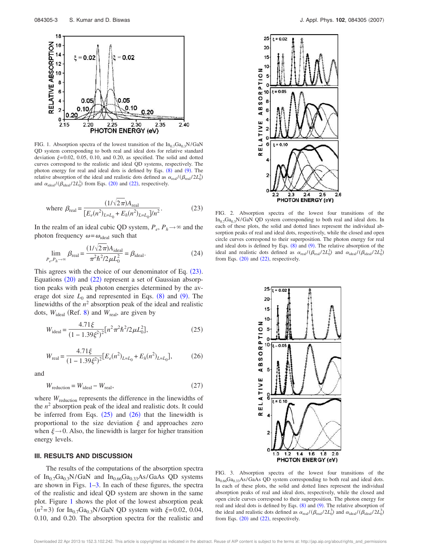

FIG. 1. Absorption spectra of the lowest transition of the  $In_{0.7}Ga_{0.3}N/GaN$ QD system corresponding to both real and ideal dots for relative standard deviation  $\xi = 0.02, 0.05, 0.10,$  and 0.20, as specified. The solid and dotted curves correspond to the realistic and ideal QD systems, respectively. The photon energy for real and ideal dots is defined by Eqs.  $(8)$  and  $(9)$ . The relative absorption of the ideal and realistic dots defined as  $\alpha_{\text{real}}/(\beta_{\text{real}}/2L_0^3)$ and  $\alpha_{\text{ideal}}/(\beta_{\text{ideal}}/2L_0^3)$  from Eqs. (20) and (22), respectively.

where 
$$
\beta_{\text{real}} = \frac{(1/\sqrt{2\pi})A_{\text{real}}}{[E_e(n^2)_{L=L_0} + E_h(n^2)_{L=L_0}]/n^2}
$$
. (23)

In the realm of an ideal cubic QD system,  $P_e$ ,  $P_h \rightarrow \infty$  and the photon frequency  $\omega = \omega_{\text{ideal}}$  such that

$$
\lim_{P_e, P_h \to \infty} \beta_{\text{real}} = \frac{(1/\sqrt{2\pi})A_{\text{ideal}}}{\pi^2 \hbar^2 / 2\mu L_0^2} = \beta_{\text{ideal}}.
$$
 (24)

This agrees with the choice of our denominator of Eq.  $(23)$ . Equations (20) and (22) represent a set of Gaussian absorption peaks with peak photon energies determined by the average dot size  $L_0$  and represented in Eqs.  $(8)$  and  $(9)$ . The linewidths of the  $n^2$  absorption peak of the ideal and realistic dots,  $W_{\text{ideal}}$  (Ref. 8) and  $W_{\text{real}}$ , are given by

$$
W_{\text{ideal}} = \frac{4.71\xi}{(1 - 1.39\xi^2)^2} [n^2 \pi^2 \hbar^2 / 2 \mu L_0^2],\tag{25}
$$

$$
W_{\text{real}} = \frac{4.71\xi}{(1 - 1.39\xi^2)^2} [E_e(n^2)_{L=L_0} + E_h(n^2)_{L=L_0}],\tag{26}
$$

and

$$
W_{\text{reduction}} = W_{\text{ideal}} - W_{\text{real}},\tag{27}
$$

where  $W_{\text{reduction}}$  represents the difference in the linewidths of the  $n<sup>2</sup>$  absorption peak of the ideal and realistic dots. It could be inferred from Eqs.  $(25)$  and  $(26)$  that the linewidth is proportional to the size deviation  $\xi$  and approaches zero when  $\xi \rightarrow 0$ . Also, the linewidth is larger for higher transition energy levels.

### **III. RESULTS AND DISCUSSION**

The results of the computations of the absorption spectra of  $In_{0.7}Ga_{0.3}N/GaN$  and  $In_{0.66}Ga_{0.33}As/GaAs$  QD systems are shown in Figs. 1–3. In each of these figures, the spectra of the realistic and ideal QD system are shown in the same plot. Figure 1 shows the plot of the lowest absorption peak  $(n^2=3)$  for In<sub>0.7</sub>Ga<sub>0.3</sub>N/GaN QD system with  $\xi = 0.02, 0.04$ , 0.10, and 0.20. The absorption spectra for the realistic and



FIG. 2. Absorption spectra of the lowest four transitions of the  $In_{0.7}Ga_{0.3}N/GaN$  QD system corresponding to both real and ideal dots. In each of these plots, the solid and dotted lines represent the individual absorption peaks of real and ideal dots, respectively, while the closed and open circle curves correspond to their superposition. The photon energy for real and ideal dots is defined by Eqs.  $(8)$  and  $(9)$ . The relative absorption of the ideal and realistic dots defined as  $\alpha_{\text{real}}/(\beta_{\text{real}}/2L_0^3)$  and  $\alpha_{\text{ideal}}/(\beta_{\text{ideal}}/2L_0^3)$ from Eqs.  $(20)$  and  $(22)$ , respectively.



FIG. 3. Absorption spectra of the lowest four transitions of the  $In<sub>0.66</sub>Ga<sub>0.33</sub>As/GaAs QD system corresponding to both real and ideal dots.$ In each of these plots, the solid and dotted lines represent the individual absorption peaks of real and ideal dots, respectively, while the closed and open circle curves correspond to their superposition. The photon energy for real and ideal dots is defined by Eqs.  $(8)$  and  $(9)$ . The relative absorption of the ideal and realistic dots defined as  $\alpha_{\text{real}}/(\beta_{\text{real}}/2L_0^3)$  and  $\alpha_{\text{ideal}}/(\beta_{\text{ideal}}/2L_0^3)$ from Eqs.  $(20)$  and  $(22)$ , respectively.

Downloaded 22 Apr 2013 to 152.3.102.242. This article is copyrighted as indicated in the abstract. Reuse of AIP content is subject to the terms at: http://jap.aip.org/about/rights\_and\_permissions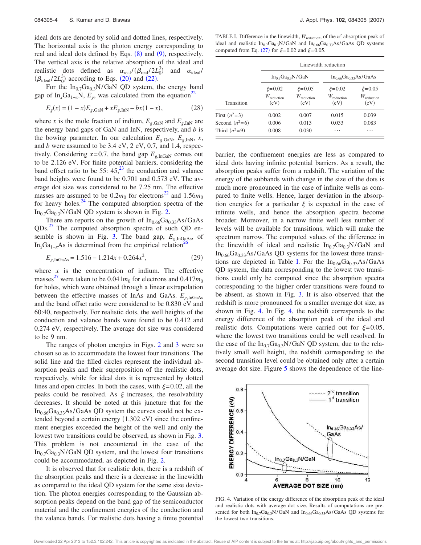ideal dots are denoted by solid and dotted lines, respectively. The horizontal axis is the photon energy corresponding to real and ideal dots defined by Eqs.  $(8)$  and  $(9)$ , respectively. The vertical axis is the relative absorption of the ideal and realistic dots defined as  $\alpha_{\text{real}}/(\beta_{\text{real}}/2L_0^3)$ and  $\alpha_{\text{ideal}}$  $(\beta_{\text{ideal}}/2L_0^3)$  according to Eqs. (20) and (22).

For the  $In_{0.7}Ga_{0.3}N/GaN$  QD system, the energy band gap of In<sub>x</sub>Ga<sub>1-*x*</sub>N,  $E_g$ , was calculated from the equation<sup>22</sup>

$$
E_g(x) = (1 - x)E_{g, \text{GaN}} + xE_{g, \text{InN}} - bx(1 - x),\tag{28}
$$

where *x* is the mole fraction of indium,  $E_{g,GaN}$  and  $E_{g,InN}$  are the energy band gaps of GaN and InN, respectively, and *b* is the bowing parameter. In our calculation  $E_{g,GaN}$ ,  $E_{g,InN}$ , *x*, and *b* were assumed to be 3.4 eV, 2 eV, 0.7, and 1.4, respectively. Considering  $x=0.7$ , the band gap  $E_{g,\text{InGAN}}$  comes out to be 2.126 eV. For finite potential barriers, considering the band offset ratio to be  $55: 45<sup>23</sup>$  the conduction and valance band heights were found to be 0.701 and 0.573 eV. The average dot size was considered to be 7.25 nm. The effective masses are assumed to be  $0.2m_0$  for electrons<sup>22</sup> and  $1.56m_0$ for heavy holes. $^{24}$  The computed absorption spectra of the  $In_{0.7}Ga_{0.3}N/GaN$  QD system is shown in Fig. 2.

There are reports on the growth of  $In<sub>0.66</sub>Ga<sub>0.33</sub>As/GaAs$ QDs.<sup>25</sup> The computed absorption spectra of such QD ensemble is shown in Fig. 3. The band gap,  $E_{g,\text{InGaAs}}$ , of In<sub>*x*</sub>Ga<sub>1−*x*</sub>As is determined from the empirical relation<sup>4</sup>

$$
E_{g,\text{InGaAs}} = 1.516 - 1.214x + 0.264x^2,\tag{29}
$$

where  $x$  is the concentration of indium. The effective masses<sup>27</sup> were taken to be  $0.041m_0$  for electrons and  $0.417m_0$ for holes, which were obtained through a linear extrapolation between the effective masses of InAs and GaAs.  $E_{g,\text{InGaAs}}$ and the band offset ratio were considered to be 0.830 eV and 60:40, respectively. For realistic dots, the well heights of the conduction and valance bands were found to be 0.412 and 0.274 eV, respectively. The average dot size was considered to be 9 nm.

The ranges of photon energies in Figs. 2 and 3 were so chosen so as to accommodate the lowest four transitions. The solid line and the filled circles represent the individual absorption peaks and their superposition of the realistic dots, respectively, while for ideal dots it is represented by dotted lines and open circles. In both the cases, with  $\xi = 0.02$ , all the peaks could be resolved. As  $\xi$  increases, the resolvability decreases. It should be noted at this juncture that for the  $In<sub>0.66</sub>Ga<sub>0.33</sub>As/GaAs QD system the curves could not be ex$ tended beyond a certain energy  $(1.302 \text{ eV})$  since the confinement energies exceeded the height of the well and only the lowest two transitions could be observed, as shown in Fig. 3. This problem is not encountered in the case of the  $In_{0.7}Ga_{0.3}N/GaN$  QD system, and the lowest four transitions could be accommodated, as depicted in Fig. 2.

It is observed that for realistic dots, there is a redshift of the absorption peaks and there is a decrease in the linewidth as compared to the ideal QD system for the same size deviation. The photon energies corresponding to the Gaussian absorption peaks depend on the band gap of the semiconductor material and the confinement energies of the conduction and the valance bands. For realistic dots having a finite potential

TABLE I. Difference in the linewidth,  $W_{\text{reduction}}$ , of the  $n^2$  absorption peak of ideal and realistic  $In_{0.7}Ga_{0.3}N/GaN$  and  $In_{0.66}Ga_{0.33}As/GaAs$  QD systems computed from Eq. (27) for  $\xi = 0.02$  and  $\xi = 0.05$ .

| Transition       | Linewidth reduction                            |                                                |                                                |                                             |
|------------------|------------------------------------------------|------------------------------------------------|------------------------------------------------|---------------------------------------------|
|                  | $In_0$ <sub>7</sub> Ga <sub>03</sub> N/GaN     |                                                | $In_{0.66}Ga_{0.33}As/GaAs$                    |                                             |
|                  | $\xi = 0.02$<br>$W_{\text{reduction}}$<br>(eV) | $\xi = 0.05$<br>$W_{\text{reduction}}$<br>(eV) | $\xi = 0.02$<br>$W_{\text{reduction}}$<br>(eV) | $\xi = 0.05$<br>$W_{\rm reduction}$<br>(eV) |
| First $(n^2=3)$  | 0.002                                          | 0.007                                          | 0.015                                          | 0.039                                       |
| Second $(n^2=6)$ | 0.006                                          | 0.013                                          | 0.033                                          | 0.083                                       |
| Third $(n^2=9)$  | 0.008                                          | 0.030                                          | .                                              | .                                           |

barrier, the confinement energies are less as compared to ideal dots having infinite potential barriers. As a result, the absorption peaks suffer from a redshift. The variation of the energy of the subbands with change in the size of the dots is much more pronounced in the case of infinite wells as compared to finite wells. Hence, larger deviation in the absorption energies for a particular  $\xi$  is expected in the case of infinite wells, and hence the absorption spectra become broader. Moreover, in a narrow finite well less number of levels will be available for transitions, which will make the spectrum narrow. The computed values of the difference in the linewidth of ideal and realistic  $In_{0.7}Ga_{0.3}N/GaN$  and  $In<sub>0.66</sub>Ga<sub>0.33</sub>As/GaAs QD systems for the lowest three transi$ tions are depicted in Table I. For the  $In<sub>0.66</sub>Ga<sub>0.33</sub>As/GaAs$ QD system, the data corresponding to the lowest two transitions could only be computed since the absorption spectra corresponding to the higher order transitions were found to be absent, as shown in Fig. 3. It is also observed that the redshift is more pronounced for a smaller average dot size, as shown in Fig. 4. In Fig. 4, the redshift corresponds to the energy difference of the absorption peak of the ideal and realistic dots. Computations were carried out for  $\xi = 0.05$ , where the lowest two transitions could be well resolved. In the case of the  $In_{0.7}Ga_{0.3}N/GaN$  QD system, due to the relatively small well height, the redshift corresponding to the second transition level could be obtained only after a certain average dot size. Figure 5 shows the dependence of the line-



FIG. 4. Variation of the energy difference of the absorption peak of the ideal and realistic dots with average dot size. Results of computations are presented for both  $In_{0.7}Ga_{0.3}N/GaN$  and  $In_{0.66}Ga_{0.33}As/GaAs$  QD systems for the lowest two transitions.